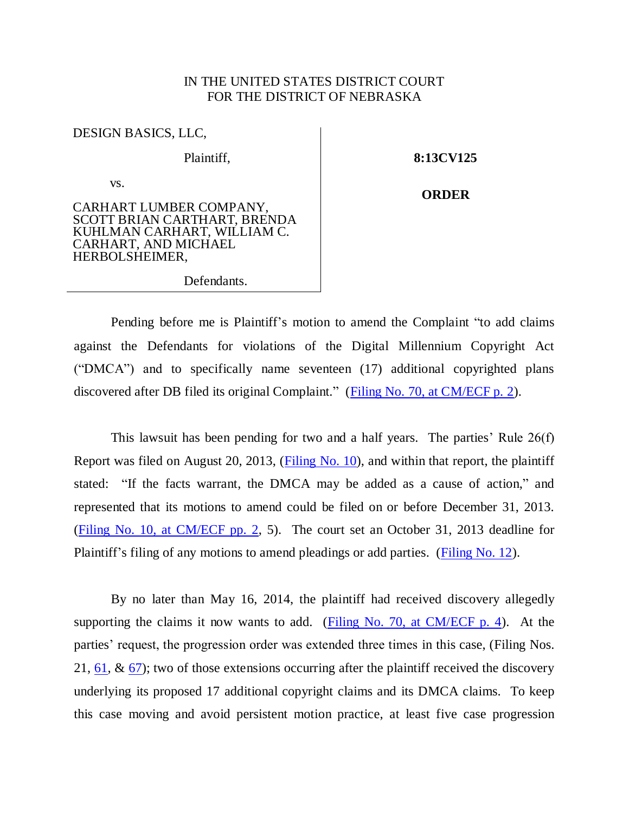## IN THE UNITED STATES DISTRICT COURT FOR THE DISTRICT OF NEBRASKA

| DESIGN BASICS, LLC,                                                                                                              |  |
|----------------------------------------------------------------------------------------------------------------------------------|--|
| Plaintiff,                                                                                                                       |  |
| VS.                                                                                                                              |  |
| CARHART LUMBER COMPANY,<br>SCOTT BRIAN CARTHART, BRENDA<br>KUHLMAN CARHART, WILLIAM C.<br>CARHART, AND MICHAEL<br>HERBOLSHEIMER, |  |

**8:13CV125**

**ORDER**

Defendants.

Pending before me is Plaintiff's motion to amend the Complaint "to add claims against the Defendants for violations of the Digital Millennium Copyright Act ("DMCA") and to specifically name seventeen (17) additional copyrighted plans discovered after DB filed its original Complaint." [\(Filing No. 70, at CM/ECF p. 2\)](https://ecf.ned.uscourts.gov/doc1/11313370108?page=2).

This lawsuit has been pending for two and a half years. The parties' Rule 26(f) Report was filed on August 20, 2013, [\(Filing No. 10\)](https://ecf.ned.uscourts.gov/doc1/11312849044), and within that report, the plaintiff stated: "If the facts warrant, the DMCA may be added as a cause of action," and represented that its motions to amend could be filed on or before December 31, 2013. [\(Filing No. 10, at CM/ECF pp. 2,](https://ecf.ned.uscourts.gov/doc1/11312849044?page=2) 5). The court set an October 31, 2013 deadline for Plaintiff's filing of any motions to amend pleadings or add parties. [\(Filing No. 12\)](https://ecf.ned.uscourts.gov/doc1/11312852423).

By no later than May 16, 2014, the plaintiff had received discovery allegedly supporting the claims it now wants to add. [\(Filing No. 70, at CM/ECF p. 4\)](https://ecf.ned.uscourts.gov/doc1/11313370108?page=4). At the parties' request, the progression order was extended three times in this case, (Filing Nos. 21,  $61, \& 67$ ; two of those extensions occurring after the plaintiff received the discovery underlying its proposed 17 additional copyright claims and its DMCA claims. To keep this case moving and avoid persistent motion practice, at least five case progression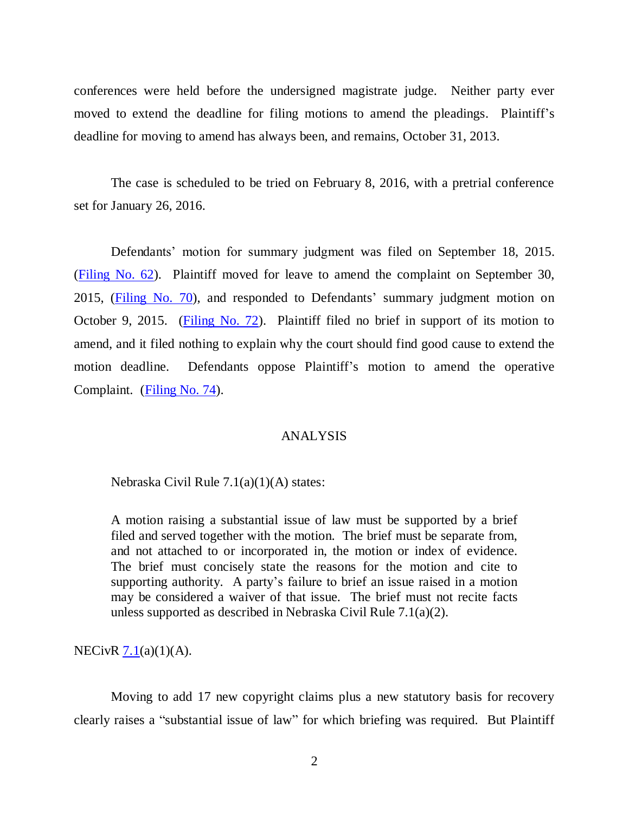conferences were held before the undersigned magistrate judge. Neither party ever moved to extend the deadline for filing motions to amend the pleadings. Plaintiff's deadline for moving to amend has always been, and remains, October 31, 2013.

The case is scheduled to be tried on February 8, 2016, with a pretrial conference set for January 26, 2016.

Defendants' motion for summary judgment was filed on September 18, 2015. [\(Filing No. 62\)](https://ecf.ned.uscourts.gov/doc1/11313361893). Plaintiff moved for leave to amend the complaint on September 30, 2015, [\(Filing No. 70\)](https://ecf.ned.uscourts.gov/doc1/11313370108), and responded to Defendants' summary judgment motion on October 9, 2015. [\(Filing No. 72\)](https://ecf.ned.uscourts.gov/doc1/11313376685). Plaintiff filed no brief in support of its motion to amend, and it filed nothing to explain why the court should find good cause to extend the motion deadline. Defendants oppose Plaintiff's motion to amend the operative Complaint. [\(Filing No. 74\)](https://ecf.ned.uscourts.gov/doc1/11313378563).

## ANALYSIS

Nebraska Civil Rule 7.1(a)(1)(A) states:

A motion raising a substantial issue of law must be supported by a brief filed and served together with the motion. The brief must be separate from, and not attached to or incorporated in, the motion or index of evidence. The brief must concisely state the reasons for the motion and cite to supporting authority. A party's failure to brief an issue raised in a motion may be considered a waiver of that issue. The brief must not recite facts unless supported as described in Nebraska Civil Rule 7.1(a)(2).

NECivR [7.1\(](http://www.ned.uscourts.gov/localrules/rules14/NECivR/7.1.pdf)a)(1)(A).

Moving to add 17 new copyright claims plus a new statutory basis for recovery clearly raises a "substantial issue of law" for which briefing was required. But Plaintiff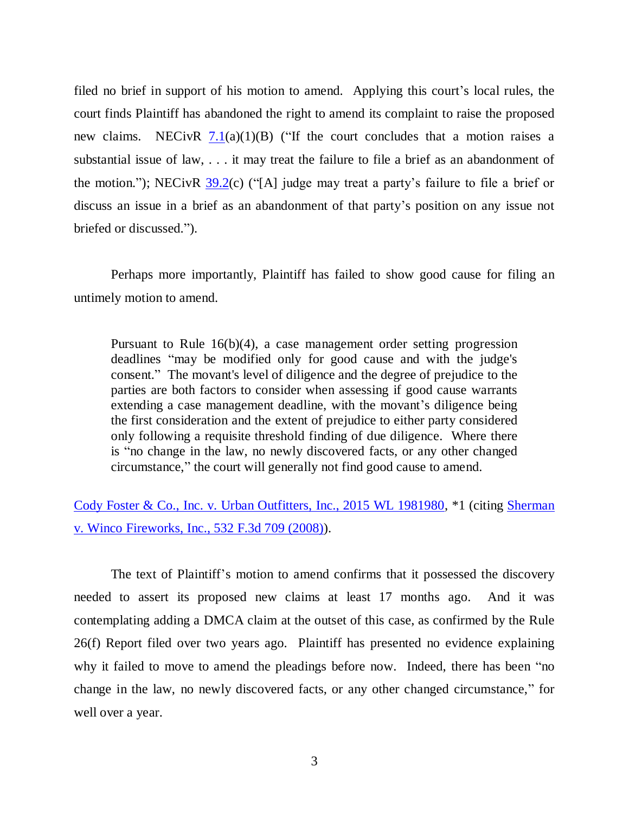filed no brief in support of his motion to amend. Applying this court's local rules, the court finds Plaintiff has abandoned the right to amend its complaint to raise the proposed new claims. NECivR  $7.1(a)(1)(B)$  $7.1(a)(1)(B)$  ("If the court concludes that a motion raises a substantial issue of law, . . . it may treat the failure to file a brief as an abandonment of the motion."); NECivR [39.2\(](http://www.ned.uscourts.gov/localrules/rules14/NECivR/39.2.pdf)c) ("[A] judge may treat a party's failure to file a brief or discuss an issue in a brief as an abandonment of that party's position on any issue not briefed or discussed.").

Perhaps more importantly, Plaintiff has failed to show good cause for filing an untimely motion to amend.

Pursuant to Rule 16(b)(4), a case management order setting progression deadlines "may be modified only for good cause and with the judge's consent." The movant's level of diligence and the degree of prejudice to the parties are both factors to consider when assessing if good cause warrants extending a case management deadline, with the movant's diligence being the first consideration and the extent of prejudice to either party considered only following a requisite threshold finding of due diligence. Where there is "no change in the law, no newly discovered facts, or any other changed circumstance," the court will generally not find good cause to amend.

[Cody Foster & Co., Inc. v. Urban Outfitters, Inc., 2015 WL 1981980,](http://www.westlaw.com/find/default.wl?ft=Y&db=0000999&rs=ap2.0&rp=%2ffind%2fdefault.wl&serialnum=2036192602&fn=_top&findtype=Y&vr=2.0&wbtoolsId=2036192602&HistoryType=F) \*1 (citing Sherman [v. Winco Fireworks, Inc., 532 F.3d 709 \(2008\)\)](http://www.westlaw.com/find/default.wl?ft=Y&db=0000506&rs=ap2.0&rp=%2ffind%2fdefault.wl&serialnum=2016453965&fn=_top&findtype=Y&vr=2.0&wbtoolsId=2016453965&HistoryType=F).

The text of Plaintiff's motion to amend confirms that it possessed the discovery needed to assert its proposed new claims at least 17 months ago. And it was contemplating adding a DMCA claim at the outset of this case, as confirmed by the Rule 26(f) Report filed over two years ago. Plaintiff has presented no evidence explaining why it failed to move to amend the pleadings before now. Indeed, there has been "no change in the law, no newly discovered facts, or any other changed circumstance," for well over a year.